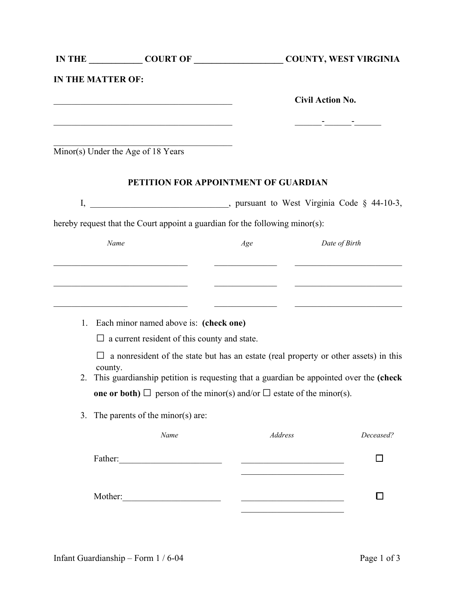|    | IN THE COURT OF COURT OF COUNTY, WEST VIRGINIA                                                                        |                                      |                                                                                                                       |
|----|-----------------------------------------------------------------------------------------------------------------------|--------------------------------------|-----------------------------------------------------------------------------------------------------------------------|
|    | <b>IN THE MATTER OF:</b>                                                                                              |                                      |                                                                                                                       |
|    | <u> 1989 - Johann John Stone, mars eta biztanleria (h. 1989).</u>                                                     |                                      | <b>Civil Action No.</b>                                                                                               |
|    | <u> 1989 - Johann Barbara, margaret eta idazlearia (h. 1989).</u>                                                     |                                      |                                                                                                                       |
|    | Minor(s) Under the Age of 18 Years                                                                                    |                                      |                                                                                                                       |
|    |                                                                                                                       | PETITION FOR APPOINTMENT OF GUARDIAN |                                                                                                                       |
|    |                                                                                                                       |                                      |                                                                                                                       |
|    | hereby request that the Court appoint a guardian for the following minor(s):                                          |                                      |                                                                                                                       |
|    | Name                                                                                                                  | Age                                  | Date of Birth                                                                                                         |
|    | the control of the control of the control of the control of the control of                                            |                                      |                                                                                                                       |
|    | <u> 1989 - Johann Barbara, martin amerikan basar dan bagi dan bagi dalam bagi dalam bagi dalam bagi dalam bagi da</u> |                                      | <u> 1989 - Johann Harry Barn, mars and de Branch and de Branch and de Branch and de Branch and de Branch and de B</u> |
|    |                                                                                                                       | <u> Alexandria (m. 1888)</u>         | <u> 1989 - Andrea Station, amerikansk politik (</u>                                                                   |
|    | 1. Each minor named above is: (check one)                                                                             |                                      |                                                                                                                       |
|    | $\Box$ a current resident of this county and state.                                                                   |                                      |                                                                                                                       |
|    | $\Box$ a nonresident of the state but has an estate (real property or other assets) in this                           |                                      |                                                                                                                       |
|    | county.<br>2. This guardianship petition is requesting that a guardian be appointed over the (check                   |                                      |                                                                                                                       |
|    | <b>one or both)</b> $\Box$ person of the minor(s) and/or $\Box$ estate of the minor(s).                               |                                      |                                                                                                                       |
| 3. | The parents of the minor(s) are:                                                                                      |                                      |                                                                                                                       |
|    | Name                                                                                                                  | Address                              | Deceased?                                                                                                             |
|    |                                                                                                                       |                                      |                                                                                                                       |
|    |                                                                                                                       |                                      |                                                                                                                       |
|    |                                                                                                                       |                                      |                                                                                                                       |
|    |                                                                                                                       |                                      |                                                                                                                       |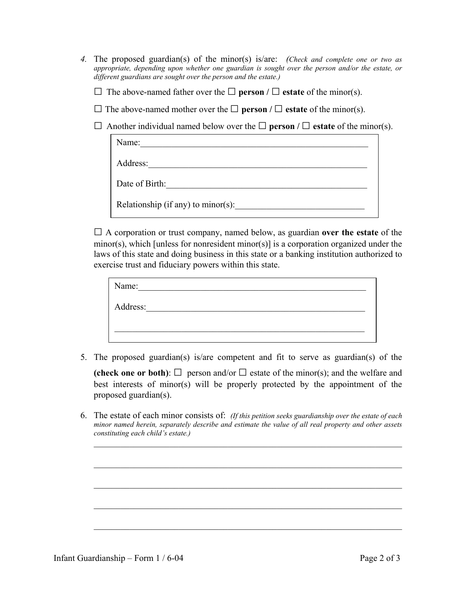- *4.* The proposed guardian(s) of the minor(s) is/are: *(Check and complete one or two as appropriate, depending upon whether one guardian is sought over the person and/or the estate, or different guardians are sought over the person and the estate.)* 
	- □ The above-named father over the **□ person / □ estate** of the minor(s).
	- □ The above-named mother over the **□ person / □ estate** of the minor(s).

□ Another individual named below over the **□ person / □ estate** of the minor(s).

| Name:                              |
|------------------------------------|
| Address:                           |
| Date of Birth:                     |
| Relationship (if any) to minor(s): |

□ A corporation or trust company, named below, as guardian **over the estate** of the minor(s), which [unless for nonresident minor(s)] is a corporation organized under the laws of this state and doing business in this state or a banking institution authorized to exercise trust and fiduciary powers within this state.

| Name:    |  |  |  |
|----------|--|--|--|
| Address: |  |  |  |
|          |  |  |  |
|          |  |  |  |

5. The proposed guardian(s) is/are competent and fit to serve as guardian(s) of the

**(check one or both)**:  $\Box$  person and/or  $\Box$  estate of the minor(s); and the welfare and best interests of minor(s) will be properly protected by the appointment of the proposed guardian(s).

6. The estate of each minor consists of: *(If this petition seeks guardianship over the estate of each minor named herein, separately describe and estimate the value of all real property and other assets constituting each child's estate.)*

 $\_$  , and the contribution of the contribution of  $\mathcal{L}_\mathcal{A}$  , and the contribution of  $\mathcal{L}_\mathcal{A}$ 

 $\_$  , and the contribution of the contribution of  $\mathcal{L}_\mathcal{A}$  , and the contribution of  $\mathcal{L}_\mathcal{A}$ 

 $\_$  , and the contribution of the contribution of  $\mathcal{L}_\mathcal{A}$  , and the contribution of  $\mathcal{L}_\mathcal{A}$ 

 $\_$  , and the contribution of the contribution of  $\mathcal{L}_\mathcal{A}$  , and the contribution of  $\mathcal{L}_\mathcal{A}$ 

 $\mathcal{L}_\text{max} = \frac{1}{2} \sum_{i=1}^n \mathcal{L}_\text{max}(\mathbf{z}_i - \mathbf{z}_i)$